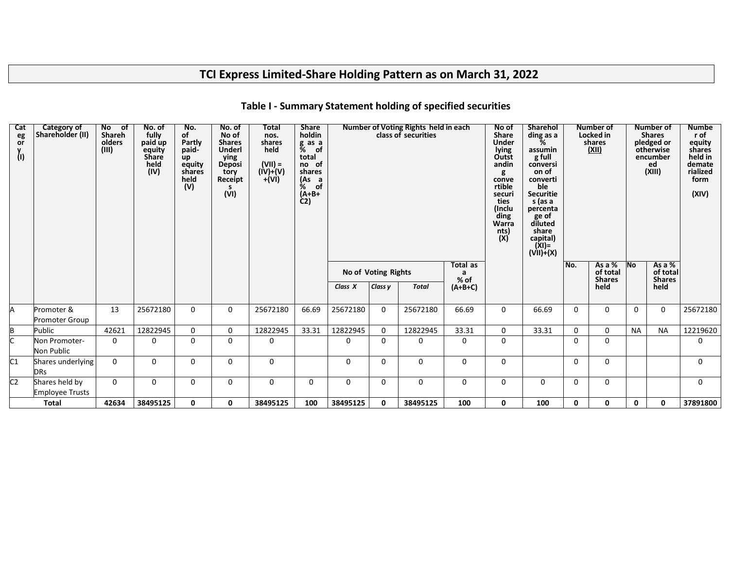# **TCI Express Limited-Share Holding Pattern as on March 31, 2022**

| Cat<br>eg<br>or<br>(I) | Category of<br>Shareholder (II)          | No of<br>Shareh<br>olders<br>(III) | No. of<br>fully<br>paid up<br>equity<br><b>Share</b><br>held<br>(IV) | No.<br>of<br>Partly<br>paid-<br>up<br>equity<br>shares<br>held<br>(V) | No. of<br>No of<br><b>Shares</b><br><b>Underl</b><br>ying<br>Deposi<br>tory<br>Receipt<br>s.<br>(VI) | Total<br>nos.<br>shares<br>held<br>$(VII) =$<br>$(IV)+(V)$<br>$+(Vi)$ | <b>Share</b><br>holdin<br>g as a<br>% of<br>total<br>no of<br>shares<br>(As a<br><u>%</u><br>of<br>(A+B+<br>$\dot{C}$ |             |                     | Number of Voting Rights held in each<br>class of securities |                  | No of<br><b>Share</b><br><b>Under</b><br>lying<br>Outst<br>andin<br>g<br>conve<br>rtible<br>securi<br>ties<br>(Inclu<br>ding<br>Warra<br>nts)<br>(X) | <b>Sharehol</b><br>ding as a<br>%<br>assumin<br>g full<br>conversi<br>on of<br>converti<br>ble<br><b>Securitie</b><br>s (as a<br>percenta<br>ge of<br>diluted<br>share<br>capital)<br>(XI)=<br>(VII)+(X) |              | <b>Number of</b><br>Locked in<br>shares<br>(XII) |                          | Number of<br><b>Shares</b><br>pledged or<br>otherwise<br>encumber<br>ed<br>(XIII) | <b>Numbe</b><br>r of<br>equity<br>shares<br>held in<br>demate<br>rialized<br>form<br>(XIV) |
|------------------------|------------------------------------------|------------------------------------|----------------------------------------------------------------------|-----------------------------------------------------------------------|------------------------------------------------------------------------------------------------------|-----------------------------------------------------------------------|-----------------------------------------------------------------------------------------------------------------------|-------------|---------------------|-------------------------------------------------------------|------------------|------------------------------------------------------------------------------------------------------------------------------------------------------|----------------------------------------------------------------------------------------------------------------------------------------------------------------------------------------------------------|--------------|--------------------------------------------------|--------------------------|-----------------------------------------------------------------------------------|--------------------------------------------------------------------------------------------|
|                        |                                          |                                    |                                                                      |                                                                       |                                                                                                      |                                                                       |                                                                                                                       |             | No of Voting Rights |                                                             | Total as<br>% of |                                                                                                                                                      |                                                                                                                                                                                                          | No.          | As a $%$<br>of total<br><b>Shares</b>            | $\overline{\mathsf{No}}$ | As a $%$<br>of total<br><b>Shares</b>                                             |                                                                                            |
|                        |                                          |                                    |                                                                      |                                                                       |                                                                                                      |                                                                       |                                                                                                                       | Class X     | Class y             | <b>Total</b>                                                | $(A+B+C)$        |                                                                                                                                                      |                                                                                                                                                                                                          |              | held                                             |                          | held                                                                              |                                                                                            |
|                        | Promoter &<br><b>Promoter Group</b>      | 13                                 | 25672180                                                             | $\Omega$                                                              | $\Omega$                                                                                             | 25672180                                                              | 66.69                                                                                                                 | 25672180    | $\Omega$            | 25672180                                                    | 66.69            | 0                                                                                                                                                    | 66.69                                                                                                                                                                                                    | $\Omega$     | 0                                                | 0                        | 0                                                                                 | 25672180                                                                                   |
|                        | Public                                   | 42621                              | 12822945                                                             | $\mathbf{0}$                                                          | 0                                                                                                    | 12822945                                                              | 33.31                                                                                                                 | 12822945    | $\mathbf 0$         | 12822945                                                    | 33.31            | 0                                                                                                                                                    | 33.31                                                                                                                                                                                                    | 0            | 0                                                | <b>NA</b>                | <b>NA</b>                                                                         | 12219620                                                                                   |
|                        | Non Promoter-<br>Non Public              | 0                                  | 0                                                                    | 0                                                                     | $\Omega$                                                                                             | 0                                                                     |                                                                                                                       | 0           | 0                   | $\Omega$                                                    | 0                | 0                                                                                                                                                    |                                                                                                                                                                                                          | $\Omega$     | $\Omega$                                         |                          |                                                                                   | $\Omega$                                                                                   |
| C1                     | Shares underlying<br><b>DRs</b>          | $\Omega$                           | $\Omega$                                                             | $\Omega$                                                              | $\Omega$                                                                                             | 0                                                                     |                                                                                                                       | $\mathbf 0$ | $\Omega$            | 0                                                           | 0                | 0                                                                                                                                                    |                                                                                                                                                                                                          | $\mathbf{0}$ | $\Omega$                                         |                          |                                                                                   | $\Omega$                                                                                   |
| C <sub>2</sub>         | Shares held by<br><b>Employee Trusts</b> | $\mathbf 0$                        | 0                                                                    | 0                                                                     | 0                                                                                                    | 0                                                                     | $\mathbf 0$                                                                                                           | 0           | $\Omega$            | 0                                                           | 0                | 0                                                                                                                                                    | $\mathbf 0$                                                                                                                                                                                              | $\Omega$     | 0                                                |                          |                                                                                   | $\Omega$                                                                                   |
|                        | <b>Total</b>                             | 42634                              | 38495125                                                             | 0                                                                     | 0                                                                                                    | 38495125                                                              | 100                                                                                                                   | 38495125    | 0                   | 38495125                                                    | 100              | 0                                                                                                                                                    | 100                                                                                                                                                                                                      | $\mathbf{0}$ | 0                                                | 0                        | 0                                                                                 | 37891800                                                                                   |

### **Table I - Summary Statement holding of specified securities**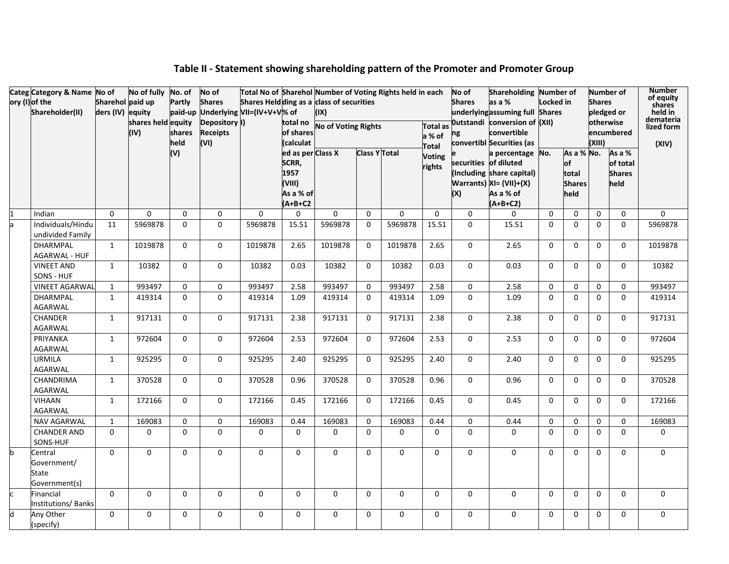| Categ Category & Name No of             |                  | No of fully No. of |                     | No of                                                | Total No of Sharehol Number of Voting Rights held in each |                       |                            |                      |          |               | No of                 | Shareholding Number of                                           |             |               |               | Number of     | <b>Number</b><br>of equity |
|-----------------------------------------|------------------|--------------------|---------------------|------------------------------------------------------|-----------------------------------------------------------|-----------------------|----------------------------|----------------------|----------|---------------|-----------------------|------------------------------------------------------------------|-------------|---------------|---------------|---------------|----------------------------|
| ory (I) of the                          | Sharehol paid up |                    | Partly              | <b>Shares</b>                                        | Shares Heldding as a class of securities                  |                       |                            |                      |          |               | <b>Shares</b>         | as a %                                                           | Locked in   |               | <b>Shares</b> |               | shares                     |
| Shareholder(II)                         | ders (IV) equity | shares held equity |                     | paid-up Underlying VII=(IV+V+V% of<br>Depository II) |                                                           |                       | (IX)                       |                      |          |               |                       | underlying assuming full Shares<br>Outstandi conversion of (XII) |             |               | otherwise     | pledged or    | held in<br>demateria       |
|                                         |                  | (IV)               | shares              | <b>Receipts</b>                                      |                                                           | total no<br>of shares | <b>No of Voting Rights</b> |                      |          | Total as      |                       | convertible                                                      |             |               |               | encumbered    | lized form                 |
|                                         |                  |                    | held                | (VI)                                                 |                                                           | (calculat             |                            |                      |          | a % of        | ng                    | convertibl Securities (as                                        |             |               | (XIII)        |               | (XIV)                      |
|                                         |                  |                    | (V)                 |                                                      |                                                           | ed as per Class X     |                            | <b>Class Y Total</b> |          | Total         |                       | a percentage No.                                                 |             | As a % No.    |               | As a %        |                            |
|                                         |                  |                    |                     |                                                      |                                                           | SCRR,                 |                            |                      |          | <b>Voting</b> | securities of diluted |                                                                  |             | $\mathsf{of}$ |               | of total      |                            |
|                                         |                  |                    |                     |                                                      |                                                           | 1957                  |                            |                      |          | rights        |                       | (Including share capital)                                        |             | total         |               | <b>Shares</b> |                            |
|                                         |                  |                    |                     |                                                      |                                                           | (VIII)                |                            |                      |          |               |                       | Warrants) XI= (VII)+(X)                                          |             | <b>Shares</b> |               | held          |                            |
|                                         |                  |                    |                     |                                                      |                                                           | As a % of             |                            |                      |          |               | (X)                   | As a % of                                                        |             | held          |               |               |                            |
|                                         |                  |                    |                     |                                                      |                                                           | $(A+B+C2$             |                            |                      |          |               |                       | $(A+B+C2)$                                                       |             |               |               |               |                            |
| Indian                                  | $\Omega$         | $\Omega$           | $\Omega$            | 0                                                    | $\Omega$                                                  | 0                     | $\Omega$                   | $\Omega$             | $\Omega$ | $\Omega$      | $\Omega$              | $\Omega$                                                         | $\Omega$    | $\mathbf{0}$  | $\mathbf{0}$  | $\mathbf{0}$  | 0                          |
| Individuals/Hindu<br>undivided Family   | 11               | 5969878            | $\mathbf 0$         | 0                                                    | 5969878                                                   | 15.51                 | 5969878                    | 0                    | 5969878  | 15.51         | $\mathbf 0$           | 15.51                                                            | $\mathbf 0$ | $\mathbf 0$   | $\mathbf 0$   | $\mathbf 0$   | 5969878                    |
| <b>DHARMPAL</b><br><b>AGARWAL - HUF</b> | $\mathbf{1}$     | 1019878            | $\mathbf 0$         | $\mathbf 0$                                          | 1019878                                                   | 2.65                  | 1019878                    | 0                    | 1019878  | 2.65          | $\mathbf 0$           | 2.65                                                             | 0           | $\mathbf 0$   | $\mathbf 0$   | $\mathbf 0$   | 1019878                    |
| <b>VINEET AND</b><br>SONS - HUF         | 1                | 10382              | 0                   | 0                                                    | 10382                                                     | 0.03                  | 10382                      | 0                    | 10382    | 0.03          | $\mathbf 0$           | 0.03                                                             | 0           | 0             | 0             | 0             | 10382                      |
| <b>VINEET AGARWAL</b>                   | 1                | 993497             | 0                   | $\mathbf 0$                                          | 993497                                                    | 2.58                  | 993497                     | 0                    | 993497   | 2.58          | 0                     | 2.58                                                             | 0           | $\mathbf 0$   | 0             | $\mathbf 0$   | 993497                     |
| DHARMPAL                                | $\mathbf{1}$     | 419314             | $\Omega$            | $\Omega$                                             | 419314                                                    | 1.09                  | 419314                     | $\Omega$             | 419314   | 1.09          | $\Omega$              | 1.09                                                             | $\Omega$    | $\mathbf{0}$  | $\mathbf 0$   | $\mathbf{0}$  | 419314                     |
| AGARWAL                                 |                  |                    |                     |                                                      |                                                           |                       |                            |                      |          |               |                       |                                                                  |             |               |               |               |                            |
| <b>CHANDER</b><br>AGARWAL               | $\mathbf{1}$     | 917131             | $\mathbf{0}$        | $\Omega$                                             | 917131                                                    | 2.38                  | 917131                     | 0                    | 917131   | 2.38          | $\Omega$              | 2.38                                                             | $\Omega$    | $\Omega$      | $\mathbf{0}$  | $\Omega$      | 917131                     |
| PRIYANKA<br><b>AGARWAL</b>              | $\mathbf{1}$     | 972604             | $\Omega$            | $\Omega$                                             | 972604                                                    | 2.53                  | 972604                     | 0                    | 972604   | 2.53          | $\Omega$              | 2.53                                                             | $\Omega$    | $\Omega$      | $\mathbf 0$   | $\Omega$      | 972604                     |
| <b>URMILA</b><br>AGARWAL                | $\mathbf{1}$     | 925295             | $\mathbf{0}$        | $\mathbf 0$                                          | 925295                                                    | 2.40                  | 925295                     | $\mathbf{0}$         | 925295   | 2.40          | $\Omega$              | 2.40                                                             | $\Omega$    | $\Omega$      | $\mathbf{0}$  | $\mathbf{0}$  | 925295                     |
| CHANDRIMA<br>AGARWAL                    | $\mathbf{1}$     | 370528             | $\Omega$            | $\Omega$                                             | 370528                                                    | 0.96                  | 370528                     | $\Omega$             | 370528   | 0.96          | $\Omega$              | 0.96                                                             | $\Omega$    | $\mathbf{0}$  | $\mathbf{0}$  | $\Omega$      | 370528                     |
| <b>VIHAAN</b><br><b>AGARWAL</b>         | $\mathbf{1}$     | 172166             | $\Omega$            | $\Omega$                                             | 172166                                                    | 0.45                  | 172166                     | $\Omega$             | 172166   | 0.45          | $\Omega$              | 0.45                                                             | $\Omega$    | $\Omega$      | $\mathbf{0}$  | $\Omega$      | 172166                     |
| NAV AGARWAL                             | $\mathbf{1}$     | 169083             | $\mathsf{O}\xspace$ | $\pmb{0}$                                            | 169083                                                    | 0.44                  | 169083                     | $\Omega$             | 169083   | 0.44          | $\Omega$              | 0.44                                                             | $\Omega$    | $\Omega$      | 0             | $\mathbf{0}$  | 169083                     |
| <b>CHANDER AND</b><br>SONS-HUF          | $\Omega$         | 0                  | $\mathbf 0$         | 0                                                    | 0                                                         | 0                     | 0                          | 0                    | 0        | 0             | $\Omega$              | $\mathbf 0$                                                      | $\Omega$    | $\mathbf 0$   | $\mathbf 0$   | $\mathbf 0$   | 0                          |
| Central                                 | $\mathbf 0$      | 0                  | 0                   | 0                                                    | 0                                                         | 0                     | 0                          | $\Omega$             | 0        | 0             | $\mathbf{0}$          | $\mathbf 0$                                                      | 0           | $\Omega$      | 0             | $\mathbf 0$   | 0                          |
| Government/                             |                  |                    |                     |                                                      |                                                           |                       |                            |                      |          |               |                       |                                                                  |             |               |               |               |                            |
| State                                   |                  |                    |                     |                                                      |                                                           |                       |                            |                      |          |               |                       |                                                                  |             |               |               |               |                            |
| Government(s)                           |                  |                    |                     |                                                      |                                                           |                       |                            |                      |          |               |                       |                                                                  |             |               |               |               |                            |
| Financial<br>Institutions/Banks         | $\Omega$         | $\Omega$           | $\mathbf 0$         | $\Omega$                                             | 0                                                         | $\mathbf 0$           | $\mathbf 0$                | 0                    | $\Omega$ | $\Omega$      | $\Omega$              | $\mathbf{0}$                                                     | 0           | $\mathbf 0$   | $\mathbf 0$   | $\mathbf{0}$  | 0                          |
| Any Other<br>(specify)                  | $\Omega$         | 0                  | $\mathbf 0$         | 0                                                    | 0                                                         | 0                     | 0                          | 0                    | 0        | 0             | 0                     | $\mathbf 0$                                                      | 0           | $\mathbf{0}$  | 0             | $\mathbf 0$   | 0                          |

# **Table II - Statement showing shareholding pattern of the Promoter and Promoter Group**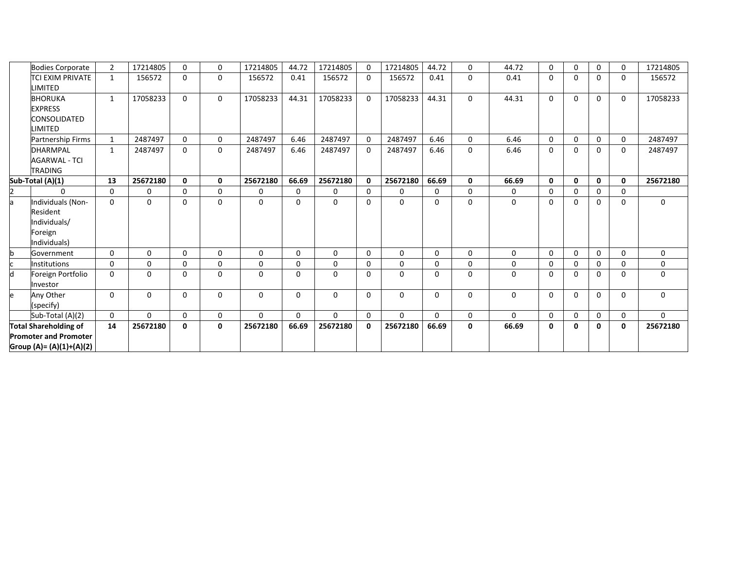|   | <b>Bodies Corporate</b>                                                  | $\overline{2}$ | 17214805 | $\mathbf{0}$ | $\Omega$ | 17214805 | 44.72    | 17214805 | $\Omega$     | 17214805 | 44.72    | $\Omega$     | 44.72       | 0            | $\mathbf{0}$ | $\Omega$     | $\Omega$ | 17214805    |
|---|--------------------------------------------------------------------------|----------------|----------|--------------|----------|----------|----------|----------|--------------|----------|----------|--------------|-------------|--------------|--------------|--------------|----------|-------------|
|   | <b>TCI EXIM PRIVATE</b><br>LIMITED                                       | $\mathbf{1}$   | 156572   | $\mathbf 0$  | 0        | 156572   | 0.41     | 156572   | $\Omega$     | 156572   | 0.41     | 0            | 0.41        | $\Omega$     | 0            | $\Omega$     | 0        | 156572      |
|   | <b>BHORUKA</b><br><b>EXPRESS</b><br>CONSOLIDATED<br>LIMITED              | $\mathbf{1}$   | 17058233 | $\mathbf{0}$ | 0        | 17058233 | 44.31    | 17058233 | $\Omega$     | 17058233 | 44.31    | $\Omega$     | 44.31       | $\Omega$     | $\mathbf 0$  | $\Omega$     | $\Omega$ | 17058233    |
|   | <b>Partnership Firms</b>                                                 | $\mathbf{1}$   | 2487497  | $\mathbf{0}$ | 0        | 2487497  | 6.46     | 2487497  | $\Omega$     | 2487497  | 6.46     | $\mathbf{0}$ | 6.46        | $\Omega$     | $\mathbf 0$  | $\mathbf 0$  | 0        | 2487497     |
|   | <b>DHARMPAL</b><br><b>AGARWAL - TCI</b><br><b>TRADING</b>                | $\mathbf{1}$   | 2487497  | $\Omega$     | $\Omega$ | 2487497  | 6.46     | 2487497  | $\Omega$     | 2487497  | 6.46     | $\mathbf{0}$ | 6.46        | $\Omega$     | $\Omega$     | $\Omega$     | $\Omega$ | 2487497     |
|   | Sub-Total (A)(1)                                                         | 13             | 25672180 | $\mathbf{0}$ | 0        | 25672180 | 66.69    | 25672180 | $\mathbf{0}$ | 25672180 | 66.69    | $\mathbf{0}$ | 66.69       | $\mathbf{0}$ | $\mathbf{0}$ | $\mathbf{0}$ | 0        | 25672180    |
|   | $\Omega$                                                                 | 0              | 0        | 0            | 0        | 0        | 0        | 0        | $\Omega$     | 0        | 0        | $\mathbf{0}$ | 0           | $\Omega$     | $\mathbf 0$  | $\Omega$     | 0        |             |
|   | Individuals (Non-<br>Resident<br>Individuals/<br>Foreign<br>Individuals) | $\mathbf{0}$   | 0        | $\mathbf 0$  | 0        | $\Omega$ | $\Omega$ | 0        | $\Omega$     | 0        | 0        | $\Omega$     | $\mathbf 0$ | $\Omega$     | 0            | $\Omega$     | 0        | $\mathbf 0$ |
|   | Government                                                               | $\mathbf{0}$   | $\Omega$ | $\mathbf{0}$ | 0        | $\Omega$ | $\Omega$ | $\Omega$ | $\Omega$     | 0        | $\Omega$ | $\Omega$     | 0           | $\Omega$     | $\Omega$     | $\Omega$     | $\Omega$ | $\Omega$    |
|   | Institutions                                                             | $\mathbf 0$    | 0        | $\mathbf 0$  | 0        | 0        | $\Omega$ | 0        | $\Omega$     | 0        | 0        | $\mathbf{0}$ | 0           | 0            | 0            | 0            | $\Omega$ | 0           |
| h | Foreign Portfolio<br>Investor                                            | $\Omega$       | $\Omega$ | $\mathbf{0}$ | 0        | $\Omega$ | $\Omega$ | $\Omega$ | $\Omega$     | $\Omega$ | $\Omega$ | $\Omega$     | $\Omega$    | $\Omega$     | 0            | $\Omega$     | $\Omega$ | $\mathbf 0$ |
|   | Any Other<br>(specify)                                                   | 0              | 0        | 0            | 0        | $\Omega$ | 0        | 0        | $\Omega$     | 0        | 0        | 0            | 0           | $\Omega$     | 0            | $\mathbf{0}$ | $\Omega$ | $\mathbf 0$ |
|   | Sub-Total (A)(2)                                                         | 0              | $\Omega$ | $\mathbf{0}$ | 0        | $\Omega$ | $\Omega$ | $\Omega$ | $\Omega$     | $\Omega$ | $\Omega$ | $\mathbf{0}$ | $\Omega$    | $\Omega$     | $\mathbf 0$  | $\Omega$     | 0        | $\Omega$    |
|   | <b>Total Shareholding of</b>                                             | 14             | 25672180 | 0            | 0        | 25672180 | 66.69    | 25672180 | $\mathbf{0}$ | 25672180 | 66.69    | 0            | 66.69       | 0            | 0            | $\mathbf{0}$ | 0        | 25672180    |
|   | <b>Promoter and Promoter</b><br>Group (A)= (A)(1)+(A)(2)                 |                |          |              |          |          |          |          |              |          |          |              |             |              |              |              |          |             |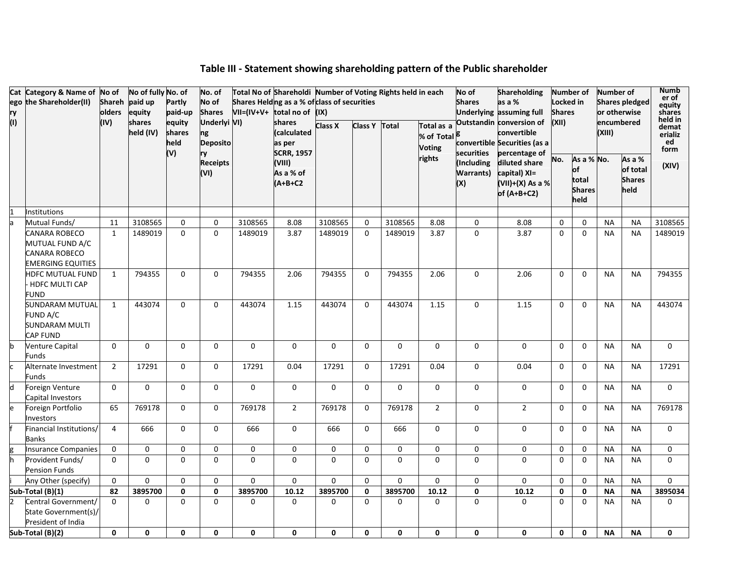| ry<br>(1) | Cat Category & Name of No of<br>ego the Shareholder(II)                       | olders<br>(IV) | No of fully No. of<br>Shareh paid up<br>equity<br>shares | Partly<br>paid-up<br>equity | No. of<br>No of<br><b>Shares</b><br>Underlyi VI) | $VII=(IV+V+$ | Total No of Shareholdi Number of Voting Rights held in each<br>Shares Helding as a % of class of securities<br>total no of (IX)<br>shares | <b>Class X</b> | <b>Class Y</b> | Total       | Total as a                                         | No of<br><b>Shares</b>                | <b>Shareholding</b><br>as a %<br>Underlying assuming full<br>Outstandin conversion of | Locked in<br><b>Shares</b><br>(XII) | Number of                            | Number of | <b>Shares pledged</b><br>or otherwise<br>encumbered | <b>Numb</b><br>er of<br>equity<br>shares<br>held in |
|-----------|-------------------------------------------------------------------------------|----------------|----------------------------------------------------------|-----------------------------|--------------------------------------------------|--------------|-------------------------------------------------------------------------------------------------------------------------------------------|----------------|----------------|-------------|----------------------------------------------------|---------------------------------------|---------------------------------------------------------------------------------------|-------------------------------------|--------------------------------------|-----------|-----------------------------------------------------|-----------------------------------------------------|
|           |                                                                               |                | held (IV)                                                | shares<br>held<br>(V)       | ng<br><b>Deposito</b><br>ry                      |              | (calculated<br>as per<br><b>SCRR, 1957</b>                                                                                                |                |                |             | % of Total <sup>B</sup><br><b>Voting</b><br>rights | securities                            | convertible<br>convertible Securities (as a<br>percentage of                          |                                     | As a % No.                           | (XIII)    | As a %                                              | demat<br>erializ<br>ed<br>form                      |
|           |                                                                               |                |                                                          |                             | <b>Receipts</b><br>(VI)                          |              | (VIII)<br>As a % of<br>$(A+B+C2$                                                                                                          |                |                |             |                                                    | (Including<br><b>Warrants)</b><br>(X) | diluted share<br>capital) XI=<br>(VII)+(X) As a %<br>of $(A+B+C2)$                    | No.                                 | of<br>total<br><b>Shares</b><br>held |           | of total<br><b>Shares</b><br>held                   | (XIV)                                               |
|           | <b>Institutions</b>                                                           |                |                                                          |                             |                                                  |              |                                                                                                                                           |                |                |             |                                                    |                                       |                                                                                       |                                     |                                      |           |                                                     |                                                     |
|           | Mutual Funds/                                                                 | 11             | 3108565                                                  | 0                           | 0                                                | 3108565      | 8.08                                                                                                                                      | 3108565        | $\Omega$       | 3108565     | 8.08                                               | 0                                     | 8.08                                                                                  | $\mathbf 0$                         | $\Omega$                             | <b>NA</b> | <b>NA</b>                                           | 3108565                                             |
|           | CANARA ROBECO<br>MUTUAL FUND A/C<br>CANARA ROBECO<br><b>EMERGING EQUITIES</b> | $\mathbf{1}$   | 1489019                                                  | $\Omega$                    | $\Omega$                                         | 1489019      | 3.87                                                                                                                                      | 1489019        | $\Omega$       | 1489019     | 3.87                                               | $\Omega$                              | 3.87                                                                                  | $\mathbf 0$                         | $\Omega$                             | <b>NA</b> | <b>NA</b>                                           | 1489019                                             |
|           | HDFC MUTUAL FUND<br><b>HDFC MULTI CAP</b><br><b>FUND</b>                      | $\mathbf{1}$   | 794355                                                   | $\Omega$                    | $\mathbf 0$                                      | 794355       | 2.06                                                                                                                                      | 794355         | $\Omega$       | 794355      | 2.06                                               | $\mathbf 0$                           | 2.06                                                                                  | $\Omega$                            | $\Omega$                             | <b>NA</b> | <b>NA</b>                                           | 794355                                              |
|           | SUNDARAM MUTUAL<br>FUND A/C<br>SUNDARAM MULTI<br>CAP FUND                     | $\mathbf{1}$   | 443074                                                   | $\Omega$                    | $\Omega$                                         | 443074       | 1.15                                                                                                                                      | 443074         | $\Omega$       | 443074      | 1.15                                               | $\pmb{0}$                             | 1.15                                                                                  | $\Omega$                            | $\Omega$                             | <b>NA</b> | <b>NA</b>                                           | 443074                                              |
|           | <b>Venture Capital</b><br>Funds                                               | $\mathbf 0$    | $\mathbf 0$                                              | 0                           | $\mathbf 0$                                      | 0            | $\mathbf 0$                                                                                                                               | $\Omega$       | $\mathbf 0$    | $\mathbf 0$ | $\Omega$                                           | $\mathbf 0$                           | $\Omega$                                                                              | $\mathbf 0$                         | $\mathbf 0$                          | <b>NA</b> | <b>NA</b>                                           | $\Omega$                                            |
|           | Alternate Investment<br>Funds                                                 | $\overline{2}$ | 17291                                                    | $\mathbf 0$                 | $\mathbf 0$                                      | 17291        | 0.04                                                                                                                                      | 17291          | $\mathbf 0$    | 17291       | 0.04                                               | $\pmb{0}$                             | 0.04                                                                                  | $\mathbf 0$                         | $\mathbf 0$                          | <b>NA</b> | <b>NA</b>                                           | 17291                                               |
| Ы         | Foreign Venture<br>Capital Investors                                          | $\Omega$       | $\mathbf 0$                                              | 0                           | $\mathbf 0$                                      | 0            | $\mathbf 0$                                                                                                                               | $\mathbf 0$    | $\Omega$       | $\mathbf 0$ | $\Omega$                                           | $\mathbf 0$                           | $\mathbf 0$                                                                           | $\mathbf 0$                         | $\mathbf 0$                          | <b>NA</b> | <b>NA</b>                                           | $\Omega$                                            |
|           | Foreign Portfolio<br>Investors                                                | 65             | 769178                                                   | $\mathbf 0$                 | 0                                                | 769178       | $\overline{2}$                                                                                                                            | 769178         | $\Omega$       | 769178      | $\overline{2}$                                     | $\mathbf 0$                           | $\overline{2}$                                                                        | 0                                   | $\mathbf 0$                          | <b>NA</b> | <b>NA</b>                                           | 769178                                              |
|           | Financial Institutions/<br><b>Banks</b>                                       | $\overline{4}$ | 666                                                      | $\Omega$                    | $\Omega$                                         | 666          | $\Omega$                                                                                                                                  | 666            | $\Omega$       | 666         | $\Omega$                                           | $\Omega$                              | $\Omega$                                                                              | $\Omega$                            | $\Omega$                             | <b>NA</b> | <b>NA</b>                                           | $\Omega$                                            |
|           | <b>Insurance Companies</b>                                                    | $\mathbf 0$    | 0                                                        | 0                           | 0                                                | 0            | 0                                                                                                                                         | 0              | $\Omega$       | 0           | 0                                                  | $\mathbf 0$                           | 0                                                                                     | 0                                   | $\mathbf 0$                          | <b>NA</b> | <b>NA</b>                                           | $\mathbf 0$                                         |
|           | Provident Funds/<br><b>Pension Funds</b>                                      | $\Omega$       | $\Omega$                                                 | $\mathbf 0$                 | $\mathbf 0$                                      | $\Omega$     | $\mathbf 0$                                                                                                                               | $\mathbf 0$    | $\Omega$       | $\Omega$    | $\Omega$                                           | $\mathbf 0$                           | 0                                                                                     | $\Omega$                            | $\Omega$                             | <b>NA</b> | <b>NA</b>                                           | $\Omega$                                            |
|           | Any Other (specify)                                                           | $\mathbf 0$    | $\Omega$                                                 | $\mathbf 0$                 | 0                                                | 0            | 0                                                                                                                                         | $\Omega$       | $\Omega$       | $\Omega$    | $\mathbf 0$                                        | $\mathbf 0$                           | 0                                                                                     | $\mathbf 0$                         | $\mathbf 0$                          | <b>NA</b> | <b>NA</b>                                           | $\Omega$                                            |
|           | Sub-Total (B)(1)                                                              | 82             | 3895700                                                  | $\mathbf 0$                 | $\mathbf 0$                                      | 3895700      | 10.12                                                                                                                                     | 3895700        | $\mathbf 0$    | 3895700     | 10.12                                              | 0                                     | 10.12                                                                                 | $\mathbf 0$                         | $\mathbf 0$                          | <b>NA</b> | <b>NA</b>                                           | 3895034                                             |
|           | Central Government/<br>State Government(s)/<br>President of India             | $\Omega$       | $\Omega$                                                 | $\Omega$                    | $\Omega$                                         | $\Omega$     | $\Omega$                                                                                                                                  | $\Omega$       | $\Omega$       | $\Omega$    | $\Omega$                                           | $\Omega$                              | $\Omega$                                                                              | $\Omega$                            | $\Omega$                             | <b>NA</b> | <b>NA</b>                                           | $\mathbf{0}$                                        |
|           | Sub-Total (B)(2)                                                              | 0              | 0                                                        | $\mathbf 0$                 | 0                                                | 0            | 0                                                                                                                                         | 0              | 0              | $\mathbf 0$ | 0                                                  | $\mathbf{0}$                          | 0                                                                                     | 0                                   | $\mathbf 0$                          | <b>NA</b> | <b>NA</b>                                           | 0                                                   |

# **Table III - Statement showing shareholding pattern of the Public shareholder**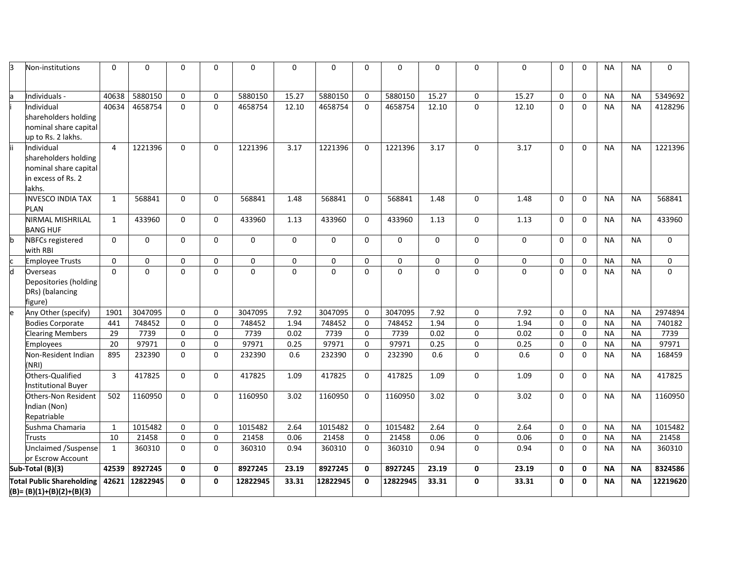| <sub>B</sub> | Non-institutions                                                                            | $\Omega$       | $\Omega$     | $\Omega$     | 0        | 0        | $\Omega$ | $\Omega$ | $\Omega$     | $\Omega$ | 0        | $\Omega$     | 0           | $\Omega$     | $\Omega$    | <b>NA</b> | <b>NA</b> | 0           |
|--------------|---------------------------------------------------------------------------------------------|----------------|--------------|--------------|----------|----------|----------|----------|--------------|----------|----------|--------------|-------------|--------------|-------------|-----------|-----------|-------------|
|              | Individuals -                                                                               | 40638          | 5880150      | $\Omega$     | $\Omega$ | 5880150  | 15.27    | 5880150  | $\mathbf{0}$ | 5880150  | 15.27    | 0            | 15.27       | 0            | 0           | <b>NA</b> | <b>NA</b> | 5349692     |
|              | Individual<br>shareholders holding<br>nominal share capital<br>up to Rs. 2 lakhs.           | 40634          | 4658754      | $\Omega$     | $\Omega$ | 4658754  | 12.10    | 4658754  | $\Omega$     | 4658754  | 12.10    | $\Omega$     | 12.10       | $\Omega$     | $\Omega$    | <b>NA</b> | <b>NA</b> | 4128296     |
|              | Individual<br>shareholders holding<br>nominal share capital<br>in excess of Rs. 2<br>lakhs. | 4              | 1221396      | $\Omega$     | $\Omega$ | 1221396  | 3.17     | 1221396  | $\Omega$     | 1221396  | 3.17     | $\Omega$     | 3.17        | $\Omega$     | $\Omega$    | <b>NA</b> | <b>NA</b> | 1221396     |
|              | <b>INVESCO INDIA TAX</b><br>PLAN                                                            | $\mathbf{1}$   | 568841       | $\Omega$     | 0        | 568841   | 1.48     | 568841   | $\mathbf{0}$ | 568841   | 1.48     | 0            | 1.48        | $\Omega$     | 0           | <b>NA</b> | <b>NA</b> | 568841      |
|              | NIRMAL MISHRILAL<br><b>BANG HUF</b>                                                         | 1              | 433960       | $\Omega$     | $\Omega$ | 433960   | 1.13     | 433960   | $\mathbf{0}$ | 433960   | 1.13     | $\Omega$     | 1.13        | 0            | $\Omega$    | <b>NA</b> | <b>NA</b> | 433960      |
|              | <b>NBFCs registered</b><br>with RBI                                                         | $\Omega$       | $\mathbf{0}$ | $\Omega$     | $\Omega$ | $\Omega$ | $\Omega$ | $\Omega$ | $\Omega$     | $\Omega$ | $\Omega$ | $\Omega$     | $\mathbf 0$ | $\Omega$     | $\Omega$    | <b>NA</b> | <b>NA</b> | $\mathbf 0$ |
|              | <b>Employee Trusts</b>                                                                      | $\Omega$       | $\Omega$     | $\Omega$     | $\Omega$ | $\Omega$ | $\Omega$ | $\Omega$ | $\Omega$     | $\Omega$ | $\Omega$ | $\Omega$     | 0           | $\mathbf 0$  | $\Omega$    | <b>NA</b> | <b>NA</b> | $\mathbf 0$ |
|              | Overseas<br>Depositories (holding<br>DRs) (balancing<br>figure)                             | $\Omega$       | $\Omega$     | $\Omega$     | $\Omega$ | $\Omega$ | $\Omega$ | $\Omega$ | $\Omega$     | $\Omega$ | $\Omega$ | $\Omega$     | $\mathbf 0$ | 0            | $\Omega$    | <b>NA</b> | <b>NA</b> | $\Omega$    |
|              | Any Other (specify)                                                                         | 1901           | 3047095      | 0            | 0        | 3047095  | 7.92     | 3047095  | $\Omega$     | 3047095  | 7.92     | 0            | 7.92        | 0            | $\mathbf 0$ | <b>NA</b> | <b>NA</b> | 2974894     |
|              | <b>Bodies Corporate</b>                                                                     | 441            | 748452       | $\mathbf 0$  | 0        | 748452   | 1.94     | 748452   | $\Omega$     | 748452   | 1.94     | 0            | 1.94        | 0            | $\pmb{0}$   | <b>NA</b> | <b>NA</b> | 740182      |
|              | <b>Clearing Members</b>                                                                     | 29             | 7739         | $\Omega$     | $\Omega$ | 7739     | 0.02     | 7739     | $\Omega$     | 7739     | 0.02     | $\mathbf 0$  | 0.02        | 0            | $\Omega$    | <b>NA</b> | <b>NA</b> | 7739        |
|              | Employees                                                                                   | 20             | 97971        | $\Omega$     | 0        | 97971    | 0.25     | 97971    | $\Omega$     | 97971    | 0.25     | 0            | 0.25        | 0            | $\Omega$    | <b>NA</b> | <b>NA</b> | 97971       |
|              | <b>Non-Resident Indian</b><br>(NRI)                                                         | 895            | 232390       | $\Omega$     | $\Omega$ | 232390   | 0.6      | 232390   | $\mathbf{0}$ | 232390   | 0.6      | $\Omega$     | 0.6         | $\Omega$     | $\Omega$    | <b>NA</b> | <b>NA</b> | 168459      |
|              | Others-Qualified<br><b>Institutional Buyer</b>                                              | $\overline{3}$ | 417825       | $\Omega$     | $\Omega$ | 417825   | 1.09     | 417825   | $\Omega$     | 417825   | 1.09     | $\Omega$     | 1.09        | $\Omega$     | $\Omega$    | <b>NA</b> | <b>NA</b> | 417825      |
|              | Others-Non Resident<br>Indian (Non)<br>Repatriable                                          | 502            | 1160950      | $\Omega$     | $\Omega$ | 1160950  | 3.02     | 1160950  | $\Omega$     | 1160950  | 3.02     | 0            | 3.02        | 0            | 0           | <b>NA</b> | <b>NA</b> | 1160950     |
|              | Sushma Chamaria                                                                             | $\mathbf{1}$   | 1015482      | $\Omega$     | $\Omega$ | 1015482  | 2.64     | 1015482  | $\Omega$     | 1015482  | 2.64     | $\Omega$     | 2.64        | $\Omega$     | $\Omega$    | <b>NA</b> | <b>NA</b> | 1015482     |
|              | Trusts                                                                                      | 10             | 21458        | $\Omega$     | $\Omega$ | 21458    | 0.06     | 21458    | $\Omega$     | 21458    | 0.06     | 0            | 0.06        | 0            | 0           | <b>NA</b> | <b>NA</b> | 21458       |
|              | Unclaimed /Suspense<br>or Escrow Account                                                    | $\mathbf{1}$   | 360310       | $\Omega$     | $\Omega$ | 360310   | 0.94     | 360310   | $\Omega$     | 360310   | 0.94     | $\mathbf{0}$ | 0.94        | $\Omega$     | $\Omega$    | <b>NA</b> | <b>NA</b> | 360310      |
|              | Sub-Total (B)(3)                                                                            | 42539          | 8927245      | $\mathbf{0}$ | 0        | 8927245  | 23.19    | 8927245  | $\Omega$     | 8927245  | 23.19    | $\mathbf 0$  | 23.19       | $\mathbf 0$  | 0           | <b>NA</b> | <b>NA</b> | 8324586     |
|              | <b>Total Public Shareholding</b><br>$(B)=(B)(1)+(B)(2)+(B)(3)$                              | 42621          | 12822945     | $\Omega$     | 0        | 12822945 | 33.31    | 12822945 | $\Omega$     | 12822945 | 33.31    | 0            | 33.31       | $\mathbf{0}$ | 0           | <b>NA</b> | <b>NA</b> | 12219620    |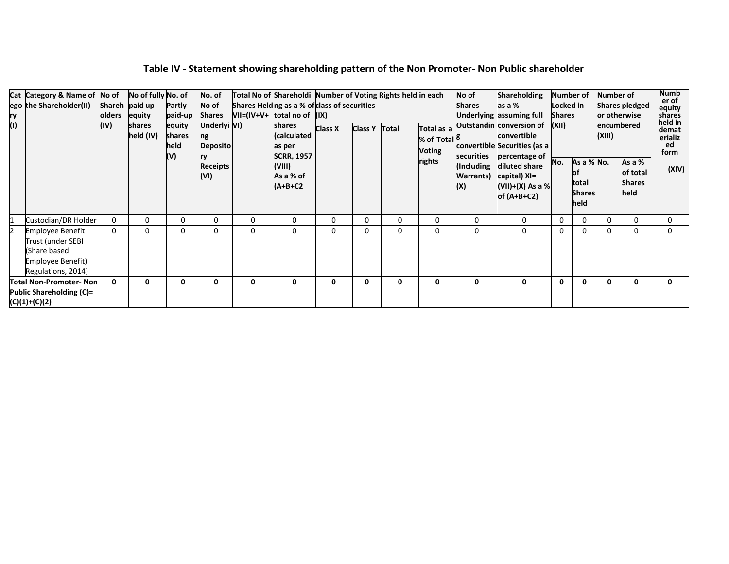| ry<br>(1) | Cat Category & Name of No of<br>ego the Shareholder(II)                                                 | olders<br>(IV) | No of fully No. of<br>Shareh paid up<br>equity<br>shares<br>held (IV) | Partly<br>paid-up<br>equity<br>shares<br>held<br>(V) | No. of<br>No of<br><b>Shares</b><br>Underlyi VI)<br>ng<br>Deposito<br>Receipts<br>(VI) | $VII=(IV+V+$ total no of $(IX)$ | Total No of Shareholdi Number of Voting Rights held in each<br>Shares Helding as a % of class of securities<br>shares<br>(calculated<br>as per<br><b>SCRR, 1957</b><br>(VIII)<br>As a % of<br>$(A+B+C2$ | <b>Class X</b> | Class Y Total |          | Total as a<br>% of Total <sup>5</sup><br><b>Voting</b><br>rights | No of<br><b>Shares</b><br>securities<br>(Including<br><b>Warrants</b> )<br>(X) | <b>Shareholding</b><br>as a %<br>Underlying assuming full<br>Outstandin conversion of<br>convertible<br>convertible Securities (as a<br>percentage of<br>diluted share<br>capital) XI=<br>(VII)+(X) As a % <br>of $(A+B+C2)$ | Locked in<br><b>Shares</b><br>(XII)<br>No. | Number of<br>As a % No.<br>Юt<br>total<br><b>Shares</b><br>held | Number of<br>or otherwise<br>encumbered<br>(XIII) | Shares pledged<br>As a %<br>of total<br><b>Shares</b><br>held | <b>Numb</b><br>er of<br>equity<br>shares<br>held in<br>demat<br>erializ<br>ed<br>form<br>(XIV) |
|-----------|---------------------------------------------------------------------------------------------------------|----------------|-----------------------------------------------------------------------|------------------------------------------------------|----------------------------------------------------------------------------------------|---------------------------------|---------------------------------------------------------------------------------------------------------------------------------------------------------------------------------------------------------|----------------|---------------|----------|------------------------------------------------------------------|--------------------------------------------------------------------------------|------------------------------------------------------------------------------------------------------------------------------------------------------------------------------------------------------------------------------|--------------------------------------------|-----------------------------------------------------------------|---------------------------------------------------|---------------------------------------------------------------|------------------------------------------------------------------------------------------------|
| 1         | Custodian/DR Holder                                                                                     | $\Omega$       | 0                                                                     | $\Omega$                                             | 0                                                                                      | 0                               | $\Omega$                                                                                                                                                                                                | 0              | 0             | $\Omega$ | 0                                                                | $\Omega$                                                                       | 0                                                                                                                                                                                                                            | $\Omega$                                   | 0                                                               | $\Omega$                                          | 0                                                             | 0                                                                                              |
| I2        | <b>Employee Benefit</b><br>Trust (under SEBI<br>(Share based<br>Employee Benefit)<br>Regulations, 2014) | $\Omega$       | 0                                                                     | $\Omega$                                             | 0                                                                                      | 0                               | 0                                                                                                                                                                                                       | 0              | 0             | $\Omega$ | 0                                                                | 0                                                                              | <sup>0</sup>                                                                                                                                                                                                                 | $\Omega$                                   | 0                                                               | $\mathbf 0$                                       | 0                                                             |                                                                                                |
|           | <b>Total Non-Promoter- Non</b><br>Public Shareholding (C)=<br>$(C)(1)+(C)(2)$                           | 0              | $\Omega$                                                              | O                                                    | 0                                                                                      | 0                               | 0                                                                                                                                                                                                       | 0              | 0             | 0        | 0                                                                | 0                                                                              | $\Omega$                                                                                                                                                                                                                     | $\mathbf{0}$                               | 0                                                               | $\mathbf 0$                                       | 0                                                             | n                                                                                              |

# **Table IV - Statement showing shareholding pattern of the Non Promoter- Non Public shareholder**